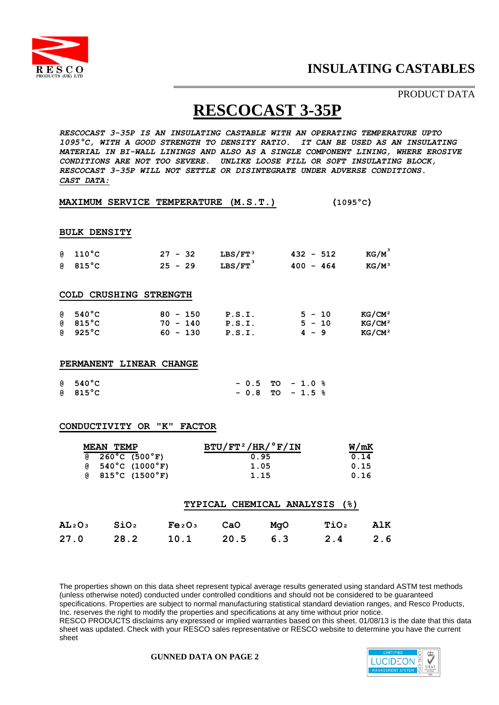

## PRODUCT DATA

# **RESCOCAST 3-35P**

*RESCOCAST 3-35P IS AN INSULATING CASTABLE WITH AN OPERATING TEMPERATURE UPTO 1095°C, WITH A GOOD STRENGTH TO DENSITY RATIO. IT CAN BE USED AS AN INSULATING MATERIAL IN BI-WALL LININGS AND ALSO AS A SINGLE COMPONENT LINING, WHERE EROSIVE CONDITIONS ARE NOT TOO SEVERE. UNLIKE LOOSE FILL OR SOFT INSULATING BLOCK, RESCOCAST 3-35P WILL NOT SETTLE OR DISINTEGRATE UNDER ADVERSE CONDITIONS. CAST DATA:*

| MAXIMUM SERVICE TEMPERATURE (M.S.T.) | $(1095^{\circ}C)$ |
|--------------------------------------|-------------------|
|--------------------------------------|-------------------|

#### **BULK DENSITY**

|          | $6\quad 110\degree C$  | $27 - 32$  | $LBS/FT^3$            | $432 - 512$   | $KG/M^3$           |
|----------|------------------------|------------|-----------------------|---------------|--------------------|
| <b>a</b> | $815\degree$ C         | $25 - 29$  | $LBS/FT$ <sup>3</sup> | 400<br>$-464$ | $KG/M^3$           |
|          |                        |            |                       |               |                    |
|          | COLD CRUSHING STRENGTH |            |                       |               |                    |
| <b>@</b> | $540^{\circ}$ C        | $80 - 150$ | P.S.I.                | $5 - 10$      | KG/CM <sup>2</sup> |
| <b>Q</b> | $815^{\circ}$ C        | 70 - 140   | P.S.I.                | $5 - 10$      | KG/CM <sup>2</sup> |
| <b>Q</b> | $925^{\circ}$ C        | $60 - 130$ | P.S.I.                | $4 - 9$       | KG/CM <sup>2</sup> |

#### **PERMANENT LINEAR CHANGE**

| @540°C | $-0.5$ TO $-1.0$ % |  |  |
|--------|--------------------|--|--|
| @815°C | $-0.8$ TO $-1.5$ % |  |  |

#### **CONDUCTIVITY OR "K" FACTOR**

|              | MEAN<br>TEMP                        |                              | $BTU/FT^2/HR/°F/IN$ |                               |                  | W/mK |
|--------------|-------------------------------------|------------------------------|---------------------|-------------------------------|------------------|------|
| g)           | $260^{\circ}$ C (500 $^{\circ}$ F)  |                              |                     | 0.95                          |                  | 0.14 |
| g)           | $540^{\circ}$ C (1000 $^{\circ}$ F) |                              |                     | 1.05                          |                  | 0.15 |
| G)           | $815^{\circ}$ C (1500 $^{\circ}$ F) |                              |                     | 1.15                          |                  | 0.16 |
|              |                                     |                              |                     | TYPICAL CHEMICAL ANALYSIS (%) |                  |      |
| <b>AL2O3</b> | SiO <sub>2</sub>                    | Fe <sub>2O<sub>3</sub></sub> | CaO                 | MaO                           | TiO <sub>2</sub> |      |

**AL²O³ SiO² Fe²O³ CaO MgO TiO² AlK 27.0 28.2 10.1 20.5 6.3 2.4 2.6** 

The properties shown on this data sheet represent typical average results generated using standard ASTM test methods (unless otherwise noted) conducted under controlled conditions and should not be considered to be guaranteed specifications. Properties are subject to normal manufacturing statistical standard deviation ranges, and Resco Products, Inc. reserves the right to modify the properties and specifications at any time without prior notice. RESCO PRODUCTS disclaims any expressed or implied warranties based on this sheet. 01/08/13 is the date that this data sheet was updated. Check with your RESCO sales representative or RESCO website to determine you have the current sheet